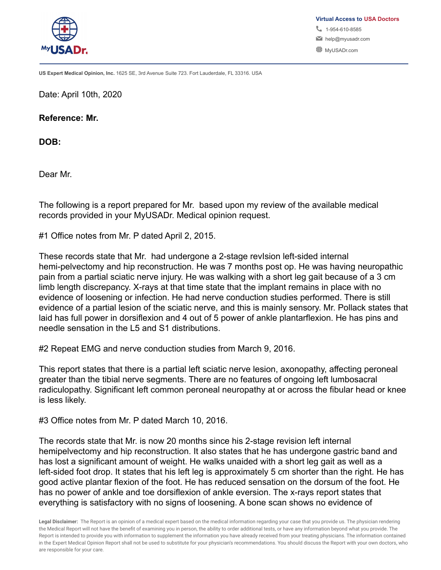

**US Expert Medical Opinion, Inc.** 1625 SE, 3rd Avenue Suite 723. Fort Lauderdale, FL 33316. USA

Date: April 10th, 2020

**Reference: Mr.**

**DOB:**

Dear Mr.

The following is a report prepared for Mr. based upon my review of the available medical records provided in your MyUSADr. Medical opinion request.

#1 Office notes from Mr. P dated April 2, 2015.

These records state that Mr. had undergone a 2-stage revision left-sided internal hemi-pelvectomy and hip reconstruction. He was 7 months post op. He was having neuropathic pain from a partial sciatic nerve injury. He was walking with a short leg gait because of a 3 cm limb length discrepancy. X-rays at that time state that the implant remains in place with no evidence of loosening or infection. He had nerve conduction studies performed. There is still evidence of a partial lesion of the sciatic nerve, and this is mainly sensory. Mr. Pollack states that laid has full power in dorsiflexion and 4 out of 5 power of ankle plantarflexion. He has pins and needle sensation in the L5 and S1 distributions.

#2 Repeat EMG and nerve conduction studies from March 9, 2016.

This report states that there is a partial left sciatic nerve lesion, axonopathy, affecting peroneal greater than the tibial nerve segments. There are no features of ongoing left lumbosacral radiculopathy. Significant left common peroneal neuropathy at or across the fibular head or knee is less likely.

#3 Office notes from Mr. P dated March 10, 2016.

The records state that Mr. is now 20 months since his 2-stage revision left internal hemipelvectomy and hip reconstruction. It also states that he has undergone gastric band and has lost a significant amount of weight. He walks unaided with a short leg gait as well as a left-sided foot drop. It states that his left leg is approximately 5 cm shorter than the right. He has good active plantar flexion of the foot. He has reduced sensation on the dorsum of the foot. He has no power of ankle and toe dorsiflexion of ankle eversion. The x-rays report states that everything is satisfactory with no signs of loosening. A bone scan shows no evidence of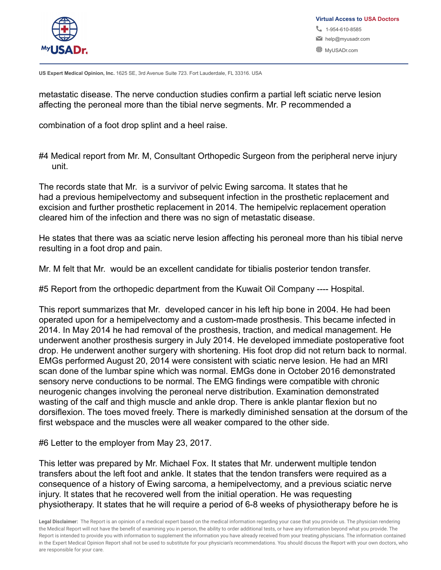

metastatic disease. The nerve conduction studies confirm a partial left sciatic nerve lesion affecting the peroneal more than the tibial nerve segments. Mr. P recommended a

combination of a foot drop splint and a heel raise.

#4 Medical report from Mr. M, Consultant Orthopedic Surgeon from the peripheral nerve injury unit.

The records state that Mr. is a survivor of pelvic Ewing sarcoma. It states that he had a previous hemipelvectomy and subsequent infection in the prosthetic replacement and excision and further prosthetic replacement in 2014. The hemipelvic replacement operation cleared him of the infection and there was no sign of metastatic disease.

He states that there was aa sciatic nerve lesion affecting his peroneal more than his tibial nerve resulting in a foot drop and pain.

Mr. M felt that Mr. would be an excellent candidate for tibialis posterior tendon transfer.

#5 Report from the orthopedic department from the Kuwait Oil Company ---- Hospital.

This report summarizes that Mr. developed cancer in his left hip bone in 2004. He had been operated upon for a hemipelvectomy and a custom-made prosthesis. This became infected in 2014. In May 2014 he had removal of the prosthesis, traction, and medical management. He underwent another prosthesis surgery in July 2014. He developed immediate postoperative foot drop. He underwent another surgery with shortening. His foot drop did not return back to normal. EMGs performed August 20, 2014 were consistent with sciatic nerve lesion. He had an MRI scan done of the lumbar spine which was normal. EMGs done in October 2016 demonstrated sensory nerve conductions to be normal. The EMG findings were compatible with chronic neurogenic changes involving the peroneal nerve distribution. Examination demonstrated wasting of the calf and thigh muscle and ankle drop. There is ankle plantar flexion but no dorsiflexion. The toes moved freely. There is markedly diminished sensation at the dorsum of the first webspace and the muscles were all weaker compared to the other side.

#6 Letter to the employer from May 23, 2017.

This letter was prepared by Mr. Michael Fox. It states that Mr. underwent multiple tendon transfers about the left foot and ankle. It states that the tendon transfers were required as a consequence of a history of Ewing sarcoma, a hemipelvectomy, and a previous sciatic nerve injury. It states that he recovered well from the initial operation. He was requesting physiotherapy. It states that he will require a period of 6-8 weeks of physiotherapy before he is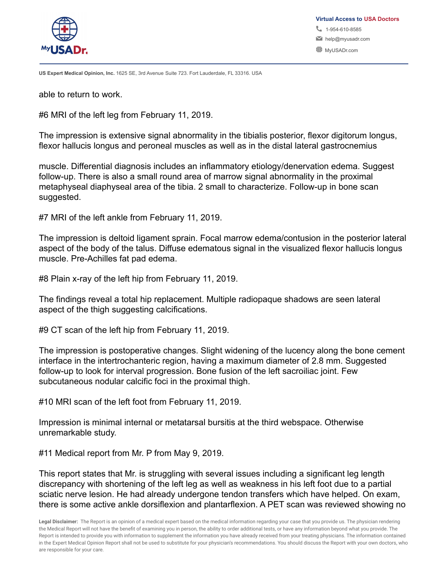

able to return to work.

#6 MRI of the left leg from February 11, 2019.

The impression is extensive signal abnormality in the tibialis posterior, flexor digitorum longus, flexor hallucis longus and peroneal muscles as well as in the distal lateral gastrocnemius

muscle. Differential diagnosis includes an inflammatory etiology/denervation edema. Suggest follow-up. There is also a small round area of marrow signal abnormality in the proximal metaphyseal diaphyseal area of the tibia. 2 small to characterize. Follow-up in bone scan suggested.

#7 MRI of the left ankle from February 11, 2019.

The impression is deltoid ligament sprain. Focal marrow edema/contusion in the posterior lateral aspect of the body of the talus. Diffuse edematous signal in the visualized flexor hallucis longus muscle. Pre-Achilles fat pad edema.

#8 Plain x-ray of the left hip from February 11, 2019.

The findings reveal a total hip replacement. Multiple radiopaque shadows are seen lateral aspect of the thigh suggesting calcifications.

#9 CT scan of the left hip from February 11, 2019.

The impression is postoperative changes. Slight widening of the lucency along the bone cement interface in the intertrochanteric region, having a maximum diameter of 2.8 mm. Suggested follow-up to look for interval progression. Bone fusion of the left sacroiliac joint. Few subcutaneous nodular calcific foci in the proximal thigh.

#10 MRI scan of the left foot from February 11, 2019.

Impression is minimal internal or metatarsal bursitis at the third webspace. Otherwise unremarkable study.

#11 Medical report from Mr. P from May 9, 2019.

This report states that Mr. is struggling with several issues including a significant leg length discrepancy with shortening of the left leg as well as weakness in his left foot due to a partial sciatic nerve lesion. He had already undergone tendon transfers which have helped. On exam, there is some active ankle dorsiflexion and plantarflexion. A PET scan was reviewed showing no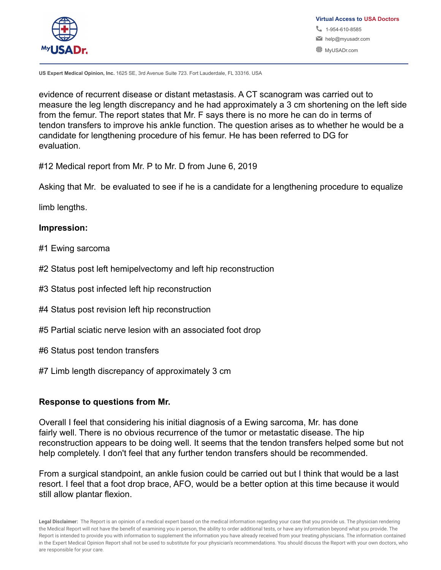

**US Expert Medical Opinion, Inc.** 1625 SE, 3rd Avenue Suite 723. Fort Lauderdale, FL 33316. USA

evidence of recurrent disease or distant metastasis. A CT scanogram was carried out to measure the leg length discrepancy and he had approximately a 3 cm shortening on the left side from the femur. The report states that Mr. F says there is no more he can do in terms of tendon transfers to improve his ankle function. The question arises as to whether he would be a candidate for lengthening procedure of his femur. He has been referred to DG for evaluation.

#12 Medical report from Mr. P to Mr. D from June 6, 2019

Asking that Mr. be evaluated to see if he is a candidate for a lengthening procedure to equalize

limb lengths.

### **Impression:**

- #1 Ewing sarcoma
- #2 Status post left hemipelvectomy and left hip reconstruction
- #3 Status post infected left hip reconstruction
- #4 Status post revision left hip reconstruction
- #5 Partial sciatic nerve lesion with an associated foot drop
- #6 Status post tendon transfers
- #7 Limb length discrepancy of approximately 3 cm

# **Response to questions from Mr.**

Overall I feel that considering his initial diagnosis of a Ewing sarcoma, Mr. has done fairly well. There is no obvious recurrence of the tumor or metastatic disease. The hip reconstruction appears to be doing well. It seems that the tendon transfers helped some but not help completely. I don't feel that any further tendon transfers should be recommended.

From a surgical standpoint, an ankle fusion could be carried out but I think that would be a last resort. I feel that a foot drop brace, AFO, would be a better option at this time because it would still allow plantar flexion.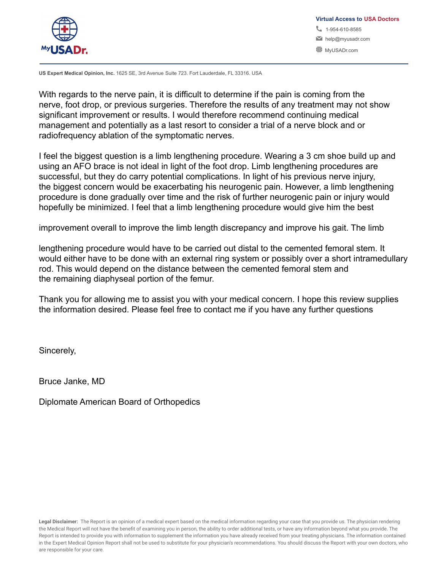

**US Expert Medical Opinion, Inc.** 1625 SE, 3rd Avenue Suite 723. Fort Lauderdale, FL 33316. USA

With regards to the nerve pain, it is difficult to determine if the pain is coming from the nerve, foot drop, or previous surgeries. Therefore the results of any treatment may not show significant improvement or results. I would therefore recommend continuing medical management and potentially as a last resort to consider a trial of a nerve block and or radiofrequency ablation of the symptomatic nerves.

I feel the biggest question is a limb lengthening procedure. Wearing a 3 cm shoe build up and using an AFO brace is not ideal in light of the foot drop. Limb lengthening procedures are successful, but they do carry potential complications. In light of his previous nerve injury, the biggest concern would be exacerbating his neurogenic pain. However, a limb lengthening procedure is done gradually over time and the risk of further neurogenic pain or injury would hopefully be minimized. I feel that a limb lengthening procedure would give him the best

improvement overall to improve the limb length discrepancy and improve his gait. The limb

lengthening procedure would have to be carried out distal to the cemented femoral stem. It would either have to be done with an external ring system or possibly over a short intramedullary rod. This would depend on the distance between the cemented femoral stem and the remaining diaphyseal portion of the femur.

Thank you for allowing me to assist you with your medical concern. I hope this review supplies the information desired. Please feel free to contact me if you have any further questions

Sincerely,

Bruce Janke, MD

Diplomate American Board of Orthopedics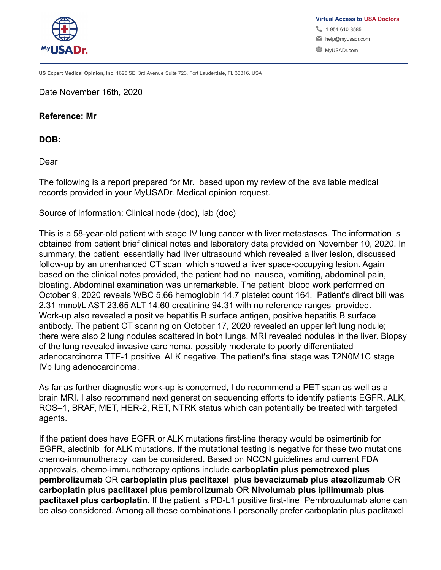

Date November 16th, 2020

#### **Reference: Mr**

**DOB:**

Dear

The following is a report prepared for Mr. based upon my review of the available medical records provided in your MyUSADr. Medical opinion request.

Source of information: Clinical node (doc), lab (doc)

This is a 58-year-old patient with stage IV lung cancer with liver metastases. The information is obtained from patient brief clinical notes and laboratory data provided on November 10, 2020. In summary, the patient essentially had liver ultrasound which revealed a liver lesion, discussed follow-up by an unenhanced CT scan which showed a liver space-occupying lesion. Again based on the clinical notes provided, the patient had no nausea, vomiting, abdominal pain, bloating. Abdominal examination was unremarkable. The patient blood work performed on October 9, 2020 reveals WBC 5.66 hemoglobin 14.7 platelet count 164. Patient's direct bili was 2.31 mmol/L AST 23.65 ALT 14.60 creatinine 94.31 with no reference ranges provided. Work-up also revealed a positive hepatitis B surface antigen, positive hepatitis B surface antibody. The patient CT scanning on October 17, 2020 revealed an upper left lung nodule; there were also 2 lung nodules scattered in both lungs. MRI revealed nodules in the liver. Biopsy of the lung revealed invasive carcinoma, possibly moderate to poorly differentiated adenocarcinoma TTF-1 positive ALK negative. The patient's final stage was T2N0M1C stage IVb lung adenocarcinoma.

As far as further diagnostic work-up is concerned, I do recommend a PET scan as well as a brain MRI. I also recommend next generation sequencing efforts to identify patients EGFR, ALK, ROS–1, BRAF, MET, HER-2, RET, NTRK status which can potentially be treated with targeted agents.

If the patient does have EGFR or ALK mutations first-line therapy would be osimertinib for EGFR, alectinib for ALK mutations. If the mutational testing is negative for these two mutations chemo-immunotherapy can be considered. Based on NCCN guidelines and current FDA approvals, chemo-immunotherapy options include **carboplatin plus pemetrexed plus pembrolizumab** OR **carboplatin plus paclitaxel plus bevacizumab plus atezolizumab** OR **carboplatin plus paclitaxel plus pembrolizumab** OR **Nivolumab plus ipilimumab plus paclitaxel plus carboplatin**. If the patient is PD-L1 positive first-line Pembrozulumab alone can be also considered. Among all these combinations I personally prefer carboplatin plus paclitaxel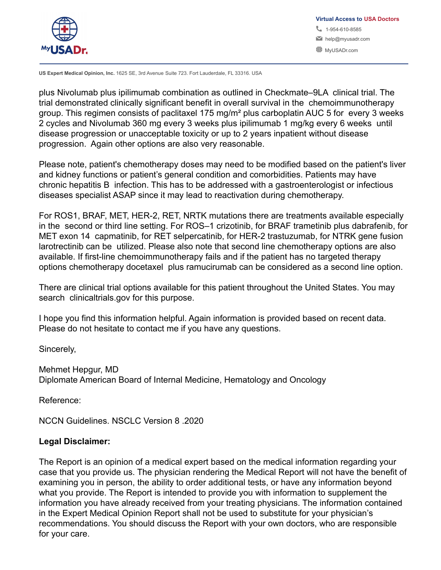

**US Expert Medical Opinion, Inc.** 1625 SE, 3rd Avenue Suite 723. Fort Lauderdale, FL 33316. USA

plus Nivolumab plus ipilimumab combination as outlined in Checkmate–9LA clinical trial. The trial demonstrated clinically significant benefit in overall survival in the chemoimmunotherapy group. This regimen consists of paclitaxel 175 mg/m² plus carboplatin AUC 5 for every 3 weeks 2 cycles and Nivolumab 360 mg every 3 weeks plus ipilimumab 1 mg/kg every 6 weeks until disease progression or unacceptable toxicity or up to 2 years inpatient without disease progression. Again other options are also very reasonable.

Please note, patient's chemotherapy doses may need to be modified based on the patient's liver and kidney functions or patient's general condition and comorbidities. Patients may have chronic hepatitis B infection. This has to be addressed with a gastroenterologist or infectious diseases specialist ASAP since it may lead to reactivation during chemotherapy.

For ROS1, BRAF, MET, HER-2, RET, NRTK mutations there are treatments available especially in the second or third line setting. For ROS–1 crizotinib, for BRAF trametinib plus dabrafenib, for MET exon 14 capmatinib, for RET selpercatinib, for HER-2 trastuzumab, for NTRK gene fusion larotrectinib can be utilized. Please also note that second line chemotherapy options are also available. If first-line chemoimmunotherapy fails and if the patient has no targeted therapy options chemotherapy docetaxel plus ramucirumab can be considered as a second line option.

There are clinical trial options available for this patient throughout the United States. You may search clinicaltrials.gov for this purpose.

I hope you find this information helpful. Again information is provided based on recent data. Please do not hesitate to contact me if you have any questions.

Sincerely,

Mehmet Hepgur, MD Diplomate American Board of Internal Medicine, Hematology and Oncology

Reference:

NCCN Guidelines. NSCLC Version 8 .2020

# **Legal Disclaimer:**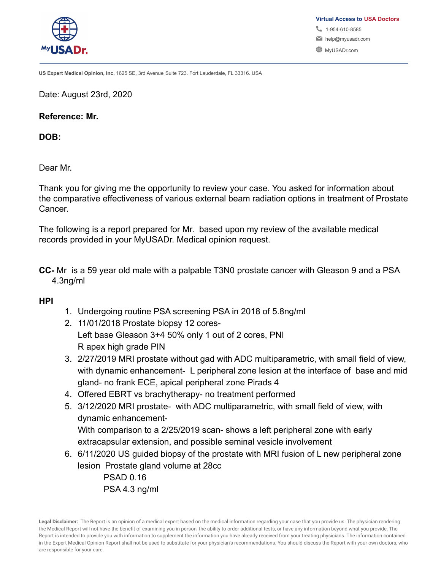

**US Expert Medical Opinion, Inc.** 1625 SE, 3rd Avenue Suite 723. Fort Lauderdale, FL 33316. USA

Date: August 23rd, 2020

**Reference: Mr.**

**DOB:**

Dear Mr.

Thank you for giving me the opportunity to review your case. You asked for information about the comparative effectiveness of various external beam radiation options in treatment of Prostate Cancer.

The following is a report prepared for Mr. based upon my review of the available medical records provided in your MyUSADr. Medical opinion request.

**CC-** Mr is a 59 year old male with a palpable T3N0 prostate cancer with Gleason 9 and a PSA 4.3ng/ml

### **HPI**

- 1. Undergoing routine PSA screening PSA in 2018 of 5.8ng/ml
- 2. 11/01/2018 Prostate biopsy 12 cores-Left base Gleason 3+4 50% only 1 out of 2 cores, PNI R apex high grade PIN
- 3. 2/27/2019 MRI prostate without gad with ADC multiparametric, with small field of view, with dynamic enhancement- L peripheral zone lesion at the interface of base and mid gland- no frank ECE, apical peripheral zone Pirads 4
- 4. Offered EBRT vs brachytherapy- no treatment performed
- 5. 3/12/2020 MRI prostate- with ADC multiparametric, with small field of view, with dynamic enhancement-With comparison to a 2/25/2019 scan- shows a left peripheral zone with early extracapsular extension, and possible seminal vesicle involvement
- 6. 6/11/2020 US guided biopsy of the prostate with MRI fusion of L new peripheral zone lesion Prostate gland volume at 28cc

PSAD 0.16 PSA 4.3 ng/ml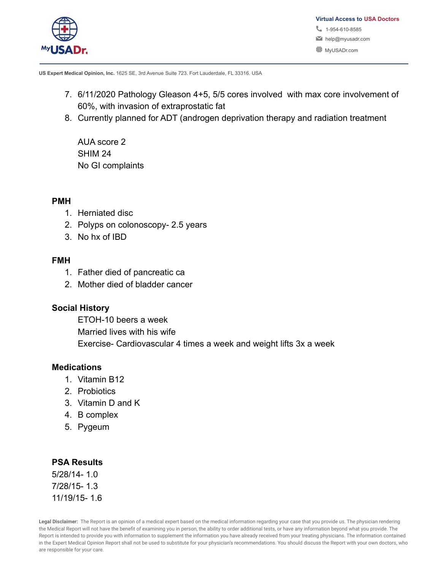

**US Expert Medical Opinion, Inc.** 1625 SE, 3rd Avenue Suite 723. Fort Lauderdale, FL 33316. USA

- 7. 6/11/2020 Pathology Gleason 4+5, 5/5 cores involved with max core involvement of 60%, with invasion of extraprostatic fat
- 8. Currently planned for ADT (androgen deprivation therapy and radiation treatment

AUA score 2 SHIM 24 No GI complaints

### **PMH**

- 1. Herniated disc
- 2. Polyps on colonoscopy- 2.5 years
- 3. No hx of IBD

### **FMH**

- 1. Father died of pancreatic ca
- 2. Mother died of bladder cancer

# **Social History**

ETOH-10 beers a week Married lives with his wife Exercise- Cardiovascular 4 times a week and weight lifts 3x a week

### **Medications**

- 1. Vitamin B12
- 2. Probiotics
- 3. Vitamin D and K
- 4. B complex
- 5. Pygeum

### **PSA Results**

5/28/14- 1.0 7/28/15- 1.3 11/19/15- 1.6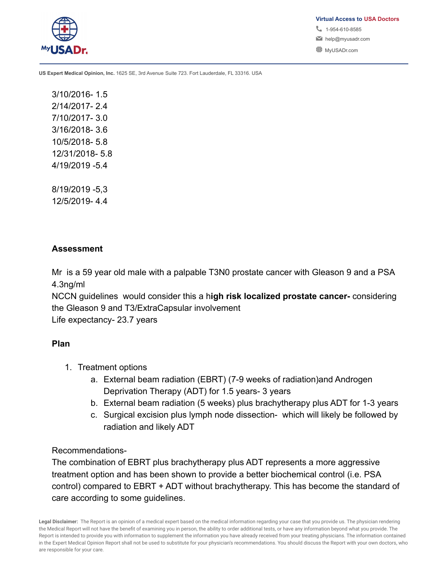

**US Expert Medical Opinion, Inc.** 1625 SE, 3rd Avenue Suite 723. Fort Lauderdale, FL 33316. USA

3/10/2016- 1.5 2/14/2017- 2.4 7/10/2017- 3.0 3/16/2018- 3.6 10/5/2018- 5.8 12/31/2018- 5.8 4/19/2019 -5.4

8/19/2019 -5,3 12/5/2019- 4.4

### **Assessment**

Mr is a 59 year old male with a palpable T3N0 prostate cancer with Gleason 9 and a PSA 4.3ng/ml

NCCN guidelines would consider this a h**igh risk localized prostate cancer-** considering the Gleason 9 and T3/ExtraCapsular involvement

Life expectancy- 23.7 years

# **Plan**

- 1. Treatment options
	- a. External beam radiation (EBRT) (7-9 weeks of radiation)and Androgen Deprivation Therapy (ADT) for 1.5 years- 3 years
	- b. External beam radiation (5 weeks) plus brachytherapy plus ADT for 1-3 years
	- c. Surgical excision plus lymph node dissection- which will likely be followed by radiation and likely ADT

Recommendations-

The combination of EBRT plus brachytherapy plus ADT represents a more aggressive treatment option and has been shown to provide a better biochemical control (i.e. PSA control) compared to EBRT + ADT without brachytherapy. This has become the standard of care according to some guidelines.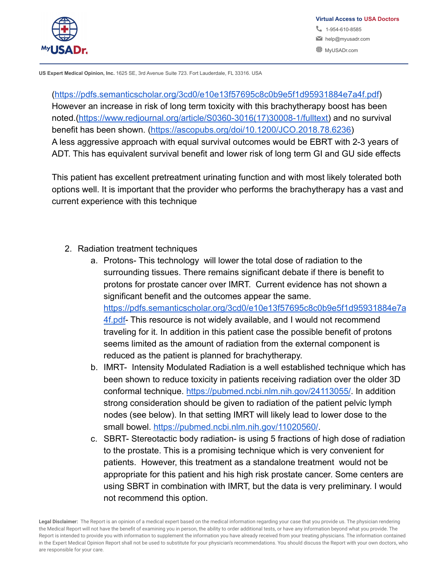

(<https://pdfs.semanticscholar.org/3cd0/e10e13f57695c8c0b9e5f1d95931884e7a4f.pdf>) However an increase in risk of long term toxicity with this brachytherapy boost has been noted.[\(https://www.redjournal.org/article/S0360-3016\(17\)30008-1/fulltext\)](https://www.redjournal.org/article/S0360-3016(17)30008-1/fulltext) and no survival benefit has been shown. [\(https://ascopubs.org/doi/10.1200/JCO.2018.78.6236\)](https://ascopubs.org/doi/10.1200/JCO.2018.78.6236) A less aggressive approach with equal survival outcomes would be EBRT with 2-3 years of ADT. This has equivalent survival benefit and lower risk of long term GI and GU side effects

This patient has excellent pretreatment urinating function and with most likely tolerated both options well. It is important that the provider who performs the brachytherapy has a vast and current experience with this technique

- 2. Radiation treatment techniques
	- a. Protons- This technology will lower the total dose of radiation to the surrounding tissues. There remains significant debate if there is benefit to protons for prostate cancer over IMRT. Current evidence has not shown a significant benefit and the outcomes appear the same. [https://pdfs.semanticscholar.org/3cd0/e10e13f57695c8c0b9e5f1d95931884e7a](https://pdfs.semanticscholar.org/3cd0/e10e13f57695c8c0b9e5f1d95931884e7a4f.pdf) [4f.pdf](https://pdfs.semanticscholar.org/3cd0/e10e13f57695c8c0b9e5f1d95931884e7a4f.pdf)- This resource is not widely available, and I would not recommend traveling for it. In addition in this patient case the possible benefit of protons seems limited as the amount of radiation from the external component is reduced as the patient is planned for brachytherapy.
	- b. IMRT- Intensity Modulated Radiation is a well established technique which has been shown to reduce toxicity in patients receiving radiation over the older 3D conformal technique. <https://pubmed.ncbi.nlm.nih.gov/24113055/>. In addition strong consideration should be given to radiation of the patient pelvic lymph nodes (see below). In that setting IMRT will likely lead to lower dose to the small bowel. [https://pubmed.ncbi.nlm.nih.gov/11020560/.](https://pubmed.ncbi.nlm.nih.gov/11020560/)
	- c. SBRT- Stereotactic body radiation- is using 5 fractions of high dose of radiation to the prostate. This is a promising technique which is very convenient for patients. However, this treatment as a standalone treatment would not be appropriate for this patient and his high risk prostate cancer. Some centers are using SBRT in combination with IMRT, but the data is very preliminary. I would not recommend this option.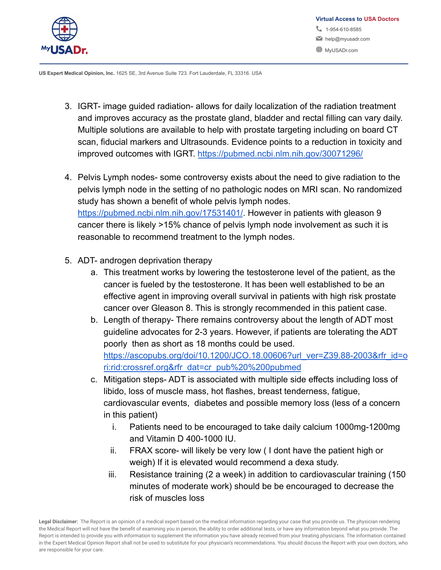

- 3. IGRT- image guided radiation- allows for daily localization of the radiation treatment and improves accuracy as the prostate gland, bladder and rectal filling can vary daily. Multiple solutions are available to help with prostate targeting including on board CT scan, fiducial markers and Ultrasounds. Evidence points to a reduction in toxicity and improved outcomes with IGRT. <https://pubmed.ncbi.nlm.nih.gov/30071296/>
- 4. Pelvis Lymph nodes- some controversy exists about the need to give radiation to the pelvis lymph node in the setting of no pathologic nodes on MRI scan. No randomized study has shown a benefit of whole pelvis lymph nodes. <https://pubmed.ncbi.nlm.nih.gov/17531401/>. However in patients with gleason 9 cancer there is likely >15% chance of pelvis lymph node involvement as such it is reasonable to recommend treatment to the lymph nodes.
- 5. ADT- androgen deprivation therapy
	- a. This treatment works by lowering the testosterone level of the patient, as the cancer is fueled by the testosterone. It has been well established to be an effective agent in improving overall survival in patients with high risk prostate cancer over Gleason 8. This is strongly recommended in this patient case.
	- b. Length of therapy- There remains controversy about the length of ADT most guideline advocates for 2-3 years. However, if patients are tolerating the ADT poorly then as short as 18 months could be used. [https://ascopubs.org/doi/10.1200/JCO.18.00606?url\\_ver=Z39.88-2003&rfr\\_id=o](https://ascopubs.org/doi/10.1200/JCO.18.00606?url_ver=Z39.88-2003&rfr_id=ori:rid:crossref.org&rfr_dat=cr_pub%20%200pubmed) [ri:rid:crossref.org&rfr\\_dat=cr\\_pub%20%200pubmed](https://ascopubs.org/doi/10.1200/JCO.18.00606?url_ver=Z39.88-2003&rfr_id=ori:rid:crossref.org&rfr_dat=cr_pub%20%200pubmed)
	- c. Mitigation steps- ADT is associated with multiple side effects including loss of libido, loss of muscle mass, hot flashes, breast tenderness, fatigue, cardiovascular events, diabetes and possible memory loss (less of a concern in this patient)
		- i. Patients need to be encouraged to take daily calcium 1000mg-1200mg and Vitamin D 400-1000 IU.
		- ii. FRAX score- will likely be very low ( I dont have the patient high or weigh) If it is elevated would recommend a dexa study.
		- iii. Resistance training (2 a week) in addition to cardiovascular training (150 minutes of moderate work) should be be encouraged to decrease the risk of muscles loss